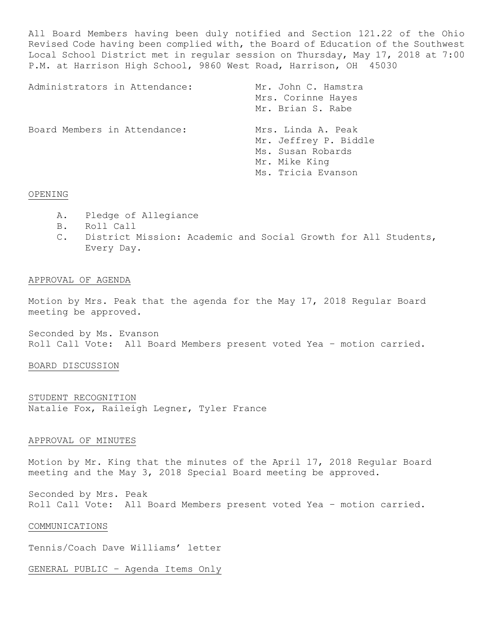All Board Members having been duly notified and Section 121.22 of the Ohio Revised Code having been complied with, the Board of Education of the Southwest Local School District met in regular session on Thursday, May 17, 2018 at 7:00 P.M. at Harrison High School, 9860 West Road, Harrison, OH 45030

| Administrators in Attendance: | Mr. John C. Hamstra<br>Mrs. Corinne Hayes<br>Mr. Brian S. Rabe                                          |
|-------------------------------|---------------------------------------------------------------------------------------------------------|
| Board Members in Attendance:  | Mrs. Linda A. Peak<br>Mr. Jeffrey P. Biddle<br>Ms. Susan Robards<br>Mr. Mike King<br>Ms. Tricia Evanson |

# OPENING

- A. Pledge of Allegiance
- B. Roll Call
- C. District Mission: Academic and Social Growth for All Students, Every Day.

# APPROVAL OF AGENDA

Motion by Mrs. Peak that the agenda for the May 17, 2018 Regular Board meeting be approved.

Seconded by Ms. Evanson Roll Call Vote: All Board Members present voted Yea – motion carried.

## BOARD DISCUSSION

STUDENT RECOGNITION Natalie Fox, Raileigh Legner, Tyler France

## APPROVAL OF MINUTES

Motion by Mr. King that the minutes of the April 17, 2018 Regular Board meeting and the May 3, 2018 Special Board meeting be approved.

Seconded by Mrs. Peak Roll Call Vote: All Board Members present voted Yea – motion carried.

### COMMUNICATIONS

Tennis/Coach Dave Williams' letter

GENERAL PUBLIC – Agenda Items Only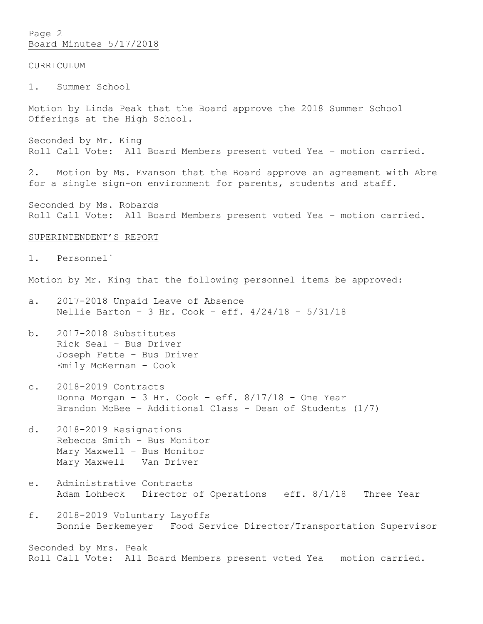Page 2 Board Minutes 5/17/2018

## CURRICULUM

1. Summer School

Motion by Linda Peak that the Board approve the 2018 Summer School Offerings at the High School.

Seconded by Mr. King Roll Call Vote: All Board Members present voted Yea – motion carried.

2. Motion by Ms. Evanson that the Board approve an agreement with Abre for a single sign-on environment for parents, students and staff.

Seconded by Ms. Robards Roll Call Vote: All Board Members present voted Yea – motion carried.

## SUPERINTENDENT'S REPORT

1. Personnel`

Motion by Mr. King that the following personnel items be approved:

- a. 2017-2018 Unpaid Leave of Absence Nellie Barton – 3 Hr. Cook – eff. 4/24/18 – 5/31/18
- b. 2017-2018 Substitutes Rick Seal – Bus Driver Joseph Fette – Bus Driver Emily McKernan – Cook
- c. 2018-2019 Contracts Donna Morgan – 3 Hr. Cook – eff. 8/17/18 – One Year Brandon McBee – Additional Class - Dean of Students (1/7)
- d. 2018-2019 Resignations Rebecca Smith – Bus Monitor Mary Maxwell – Bus Monitor Mary Maxwell – Van Driver
- e. Administrative Contracts Adam Lohbeck – Director of Operations – eff. 8/1/18 – Three Year
- f. 2018-2019 Voluntary Layoffs Bonnie Berkemeyer – Food Service Director/Transportation Supervisor

Seconded by Mrs. Peak Roll Call Vote: All Board Members present voted Yea – motion carried.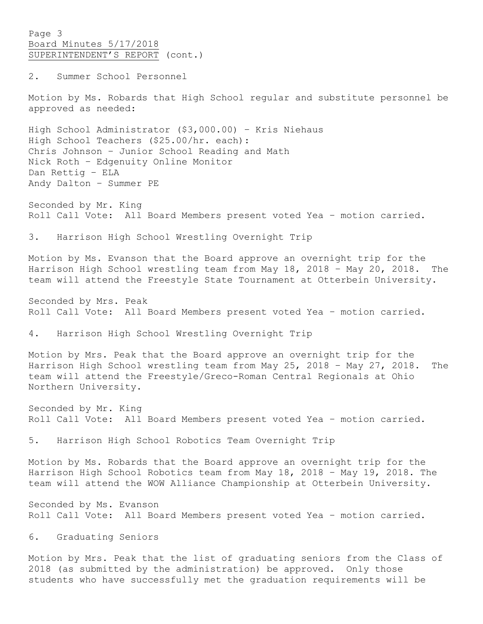Page 3 Board Minutes 5/17/2018 SUPERINTENDENT'S REPORT (cont.)

2. Summer School Personnel

Motion by Ms. Robards that High School regular and substitute personnel be approved as needed:

High School Administrator (\$3,000.00) – Kris Niehaus High School Teachers (\$25.00/hr. each): Chris Johnson – Junior School Reading and Math Nick Roth – Edgenuity Online Monitor Dan Rettig – ELA Andy Dalton – Summer PE

Seconded by Mr. King Roll Call Vote: All Board Members present voted Yea – motion carried.

3. Harrison High School Wrestling Overnight Trip

Motion by Ms. Evanson that the Board approve an overnight trip for the Harrison High School wrestling team from May 18, 2018 – May 20, 2018. The team will attend the Freestyle State Tournament at Otterbein University.

Seconded by Mrs. Peak Roll Call Vote: All Board Members present voted Yea – motion carried.

4. Harrison High School Wrestling Overnight Trip

Motion by Mrs. Peak that the Board approve an overnight trip for the Harrison High School wrestling team from May 25, 2018 – May 27, 2018. The team will attend the Freestyle/Greco-Roman Central Regionals at Ohio Northern University.

Seconded by Mr. King Roll Call Vote: All Board Members present voted Yea – motion carried.

5. Harrison High School Robotics Team Overnight Trip

Motion by Ms. Robards that the Board approve an overnight trip for the Harrison High School Robotics team from May 18, 2018 – May 19, 2018. The team will attend the WOW Alliance Championship at Otterbein University.

Seconded by Ms. Evanson Roll Call Vote: All Board Members present voted Yea – motion carried.

6. Graduating Seniors

Motion by Mrs. Peak that the list of graduating seniors from the Class of 2018 (as submitted by the administration) be approved. Only those students who have successfully met the graduation requirements will be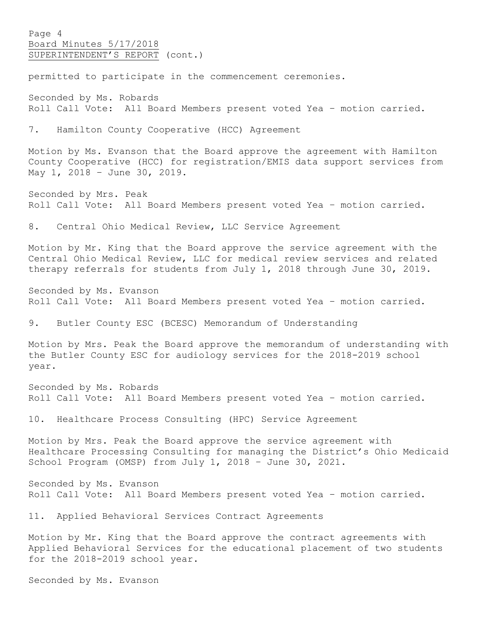Page 4 Board Minutes 5/17/2018 SUPERINTENDENT'S REPORT (cont.)

permitted to participate in the commencement ceremonies.

Seconded by Ms. Robards Roll Call Vote: All Board Members present voted Yea – motion carried.

7. Hamilton County Cooperative (HCC) Agreement

Motion by Ms. Evanson that the Board approve the agreement with Hamilton County Cooperative (HCC) for registration/EMIS data support services from May 1, 2018 – June 30, 2019.

Seconded by Mrs. Peak Roll Call Vote: All Board Members present voted Yea – motion carried.

8. Central Ohio Medical Review, LLC Service Agreement

Motion by Mr. King that the Board approve the service agreement with the Central Ohio Medical Review, LLC for medical review services and related therapy referrals for students from July 1, 2018 through June 30, 2019.

Seconded by Ms. Evanson Roll Call Vote: All Board Members present voted Yea – motion carried.

9. Butler County ESC (BCESC) Memorandum of Understanding

Motion by Mrs. Peak the Board approve the memorandum of understanding with the Butler County ESC for audiology services for the 2018-2019 school year.

Seconded by Ms. Robards Roll Call Vote: All Board Members present voted Yea – motion carried.

10. Healthcare Process Consulting (HPC) Service Agreement

Motion by Mrs. Peak the Board approve the service agreement with Healthcare Processing Consulting for managing the District's Ohio Medicaid School Program (OMSP) from July 1, 2018 – June 30, 2021.

Seconded by Ms. Evanson Roll Call Vote: All Board Members present voted Yea – motion carried.

11. Applied Behavioral Services Contract Agreements

Motion by Mr. King that the Board approve the contract agreements with Applied Behavioral Services for the educational placement of two students for the 2018-2019 school year.

Seconded by Ms. Evanson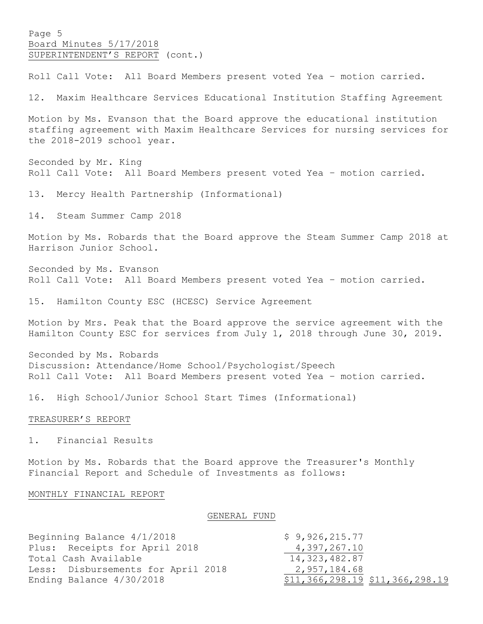Page 5 Board Minutes 5/17/2018 SUPERINTENDENT'S REPORT (cont.)

Roll Call Vote: All Board Members present voted Yea – motion carried.

12. Maxim Healthcare Services Educational Institution Staffing Agreement

Motion by Ms. Evanson that the Board approve the educational institution staffing agreement with Maxim Healthcare Services for nursing services for the 2018-2019 school year.

Seconded by Mr. King Roll Call Vote: All Board Members present voted Yea – motion carried.

13. Mercy Health Partnership (Informational)

14. Steam Summer Camp 2018

Motion by Ms. Robards that the Board approve the Steam Summer Camp 2018 at Harrison Junior School.

Seconded by Ms. Evanson Roll Call Vote: All Board Members present voted Yea – motion carried.

15. Hamilton County ESC (HCESC) Service Agreement

Motion by Mrs. Peak that the Board approve the service agreement with the Hamilton County ESC for services from July 1, 2018 through June 30, 2019.

Seconded by Ms. Robards Discussion: Attendance/Home School/Psychologist/Speech Roll Call Vote: All Board Members present voted Yea – motion carried.

16. High School/Junior School Start Times (Informational)

#### TREASURER'S REPORT

1. Financial Results

Motion by Ms. Robards that the Board approve the Treasurer's Monthly Financial Report and Schedule of Investments as follows:

## MONTHLY FINANCIAL REPORT

GENERAL FUND

| Beginning Balance 4/1/2018         | \$9,926,215.77                  |
|------------------------------------|---------------------------------|
| Plus: Receipts for April 2018      | 4,397,267.10                    |
| Total Cash Available               | 14,323,482.87                   |
| Less: Disbursements for April 2018 | 2,957,184.68                    |
| Ending Balance 4/30/2018           | \$11,366,298.19 \$11,366,298.19 |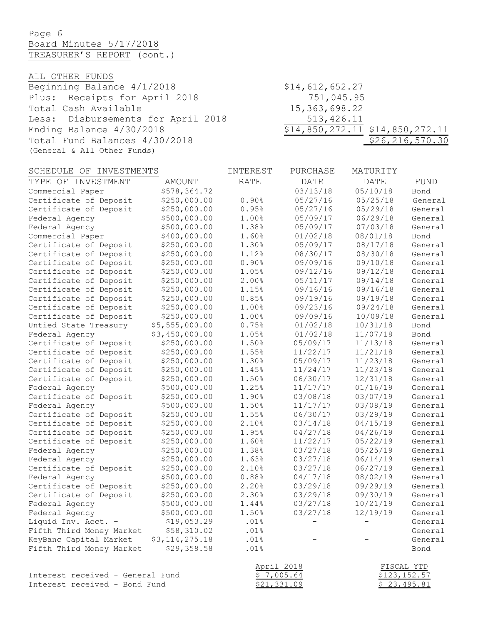Page 6 Board Minutes 5/17/2018 TREASURER'S REPORT (cont.)

ALL OTHER FUNDS

Beginning Balance 4/1/2018 \$14,612,652.27 Plus: Receipts for April 2018 <br>Total Cash Available 15,363,698.22 Total Cash Available Less: Disbursements for April 2018 513,426.11 Ending Balance 4/30/2018 \$14,850,272.11 \$14,850,272.11 Total Fund Balances 4/30/2018 \$26,216,570.30 (General & All Other Funds)

| SCHEDULE OF<br>INVESTMENTS       |                | INTEREST    | PURCHASE | MATURITY    |              |
|----------------------------------|----------------|-------------|----------|-------------|--------------|
| TYPE OF INVESTMENT               | <b>AMOUNT</b>  | <b>RATE</b> | DATE     | <b>DATE</b> | FUND         |
| Commercial Paper                 | \$578,364.72   |             | 03/13/18 | 05/10/18    | Bond         |
| Certificate of Deposit           | \$250,000.00   | 0.90%       | 05/27/16 | 05/25/18    | General      |
| Certificate of Deposit           | \$250,000.00   | 0.95%       | 05/27/16 | 05/29/18    | General      |
| Federal Agency                   | \$500,000.00   | 1.00%       | 05/09/17 | 06/29/18    | General      |
| Federal Agency                   | \$500,000.00   | 1.38%       | 05/09/17 | 07/03/18    | General      |
| Commercial Paper                 | \$400,000.00   | 1.60%       | 01/02/18 | 08/01/18    | Bond         |
| Certificate of Deposit           | \$250,000.00   | 1.30%       | 05/09/17 | 08/17/18    | General      |
| Certificate of Deposit           | \$250,000.00   | 1.12%       | 08/30/17 | 08/30/18    | General      |
| Certificate of Deposit           | \$250,000.00   | 0.90%       | 09/09/16 | 09/10/18    | General      |
| Certificate of Deposit           | \$250,000.00   | 1.05%       | 09/12/16 | 09/12/18    | General      |
| Certificate of Deposit           | \$250,000.00   | 2.00%       | 05/11/17 | 09/14/18    | General      |
| Certificate of Deposit           | \$250,000.00   | 1.15%       | 09/16/16 | 09/16/18    | General      |
| Certificate of Deposit           | \$250,000.00   | 0.85%       | 09/19/16 | 09/19/18    | General      |
| Certificate of Deposit           | \$250,000.00   | 1.00%       | 09/23/16 | 09/24/18    | General      |
| Certificate of Deposit           | \$250,000.00   | 1.00%       | 09/09/16 | 10/09/18    | General      |
| Untied State Treasury            | \$5,555,000.00 | 0.75%       | 01/02/18 | 10/31/18    | Bond         |
| Federal Agency                   | \$3,450,000.00 | 1.05%       | 01/02/18 | 11/07/18    | Bond         |
| Certificate of Deposit           | \$250,000.00   | 1.50%       | 05/09/17 | 11/13/18    | General      |
| Certificate of Deposit           | \$250,000.00   | 1.55%       | 11/22/17 | 11/21/18    | General      |
| Certificate of Deposit           | \$250,000.00   | 1.30%       | 05/09/17 | 11/23/18    | General      |
| Certificate of Deposit           | \$250,000.00   | 1.45%       | 11/24/17 | 11/23/18    | General      |
| Certificate of Deposit           | \$250,000.00   | 1.50%       | 06/30/17 | 12/31/18    | General      |
| Federal Agency                   | \$500,000.00   | 1.25%       | 11/17/17 | 01/16/19    | General      |
| Certificate of Deposit           | \$250,000.00   | 1.90%       | 03/08/18 | 03/07/19    | General      |
| Federal Agency                   | \$500,000.00   | 1.50%       | 11/17/17 | 03/08/19    | General      |
| Certificate of Deposit           | \$250,000.00   | 1.55%       | 06/30/17 | 03/29/19    | General      |
| Certificate of Deposit           | \$250,000.00   | 2.10%       | 03/14/18 | 04/15/19    | General      |
| Certificate of Deposit           | \$250,000.00   | 1.95%       | 04/27/18 | 04/26/19    | General      |
| Certificate of Deposit           | \$250,000.00   | 1.60%       | 11/22/17 | 05/22/19    | General      |
| Federal Agency                   | \$250,000.00   | 1.38%       | 03/27/18 | 05/25/19    | General      |
| Federal Agency                   | \$250,000.00   | 1.63%       | 03/27/18 | 06/14/19    | General      |
| Certificate of Deposit           | \$250,000.00   | 2.10%       | 03/27/18 | 06/27/19    | General      |
| Federal Agency                   | \$500,000.00   | 0.88%       | 04/17/18 | 08/02/19    | General      |
| Certificate of Deposit           | \$250,000.00   | 2.20%       | 03/29/18 | 09/29/19    | General      |
| Certificate of Deposit           | \$250,000.00   | 2.30%       | 03/29/18 | 09/30/19    | General      |
| Federal Agency                   | \$500,000.00   | 1.44%       | 03/27/18 | 10/21/19    | General      |
| Federal Agency                   | \$500,000.00   | 1.50%       | 03/27/18 | 12/19/19    | General      |
| Liquid Inv. Acct. -              | \$19,053.29    | .01%        |          |             | General      |
| Fifth Third Money Market         | \$58,310.02    | .01%        |          |             | General      |
| KeyBanc Capital Market           | \$3,114,275.18 | .01%        |          |             | General      |
| Fifth Third Money Market         | \$29,358.58    | .01%        |          |             | Bond         |
|                                  |                | April 2018  |          |             | FISCAL YTD   |
| Interest received - General Fund |                | \$7,005.64  |          |             | \$123,152.57 |
| Interest received - Bond Fund    |                | \$21,331.09 |          |             | \$23,495.81  |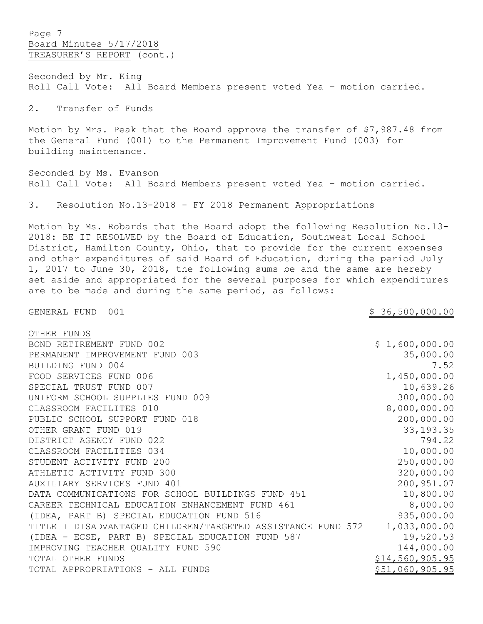Page 7 Board Minutes 5/17/2018 TREASURER'S REPORT (cont.)

Seconded by Mr. King Roll Call Vote: All Board Members present voted Yea – motion carried.

2. Transfer of Funds

Motion by Mrs. Peak that the Board approve the transfer of \$7,987.48 from the General Fund (001) to the Permanent Improvement Fund (003) for building maintenance.

Seconded by Ms. Evanson Roll Call Vote: All Board Members present voted Yea – motion carried.

3. Resolution No.13-2018 - FY 2018 Permanent Appropriations

Motion by Ms. Robards that the Board adopt the following Resolution No.13- 2018: BE IT RESOLVED by the Board of Education, Southwest Local School District, Hamilton County, Ohio, that to provide for the current expenses and other expenditures of said Board of Education, during the period July 1, 2017 to June 30, 2018, the following sums be and the same are hereby set aside and appropriated for the several purposes for which expenditures are to be made and during the same period, as follows:

GENERAL FUND 001 36,500,000.00

| OTHER FUNDS                                                 |                 |
|-------------------------------------------------------------|-----------------|
| BOND RETIREMENT FUND 002                                    | \$1,600,000.00  |
| PERMANENT IMPROVEMENT FUND 003                              | 35,000.00       |
| BUILDING FUND 004                                           | 7.52            |
| FOOD SERVICES FUND 006                                      | 1,450,000.00    |
| SPECIAL TRUST FUND 007                                      | 10,639.26       |
| UNIFORM SCHOOL SUPPLIES FUND 009                            | 300,000.00      |
| CLASSROOM FACILITES 010                                     | 8,000,000.00    |
| PUBLIC SCHOOL SUPPORT FUND 018                              | 200,000.00      |
| OTHER GRANT FUND 019                                        | 33, 193. 35     |
| DISTRICT AGENCY FUND 022                                    | 794.22          |
| CLASSROOM FACILITIES 034                                    | 10,000.00       |
| STUDENT ACTIVITY FUND 200                                   | 250,000.00      |
| ATHLETIC ACTIVITY FUND 300                                  | 320,000.00      |
| AUXILIARY SERVICES FUND 401                                 | 200,951.07      |
| DATA COMMUNICATIONS FOR SCHOOL BUILDINGS FUND 451           | 10,800.00       |
| CAREER TECHNICAL EDUCATION ENHANCEMENT FUND 461             | 8,000.00        |
| (IDEA, PART B) SPECIAL EDUCATION FUND 516                   | 935,000.00      |
| TITLE I DISADVANTAGED CHILDREN/TARGETED ASSISTANCE FUND 572 | 1,033,000.00    |
| (IDEA - ECSE, PART B) SPECIAL EDUCATION FUND 587            | 19,520.53       |
| IMPROVING TEACHER QUALITY FUND 590                          | 144,000.00      |
| TOTAL OTHER FUNDS                                           | \$14,560,905.95 |
| TOTAL APPROPRIATIONS - ALL FUNDS                            | \$51,060,905.95 |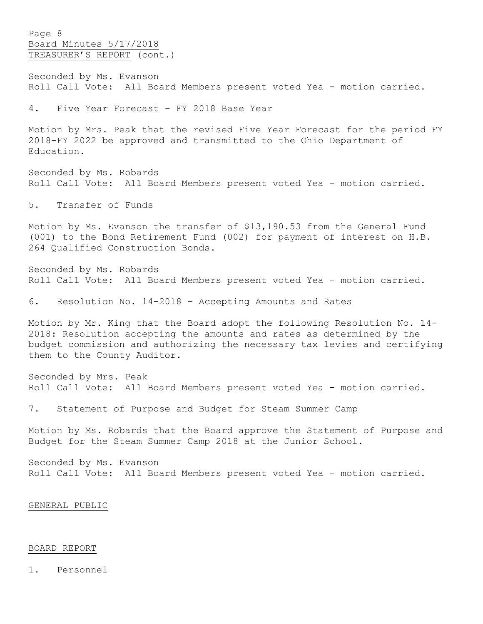Page 8 Board Minutes 5/17/2018 TREASURER'S REPORT (cont.)

Seconded by Ms. Evanson Roll Call Vote: All Board Members present voted Yea – motion carried.

4. Five Year Forecast – FY 2018 Base Year

Motion by Mrs. Peak that the revised Five Year Forecast for the period FY 2018-FY 2022 be approved and transmitted to the Ohio Department of Education.

Seconded by Ms. Robards Roll Call Vote: All Board Members present voted Yea – motion carried.

5. Transfer of Funds

Motion by Ms. Evanson the transfer of \$13,190.53 from the General Fund (001) to the Bond Retirement Fund (002) for payment of interest on H.B. 264 Qualified Construction Bonds.

Seconded by Ms. Robards Roll Call Vote: All Board Members present voted Yea – motion carried.

6. Resolution No. 14-2018 – Accepting Amounts and Rates

Motion by Mr. King that the Board adopt the following Resolution No. 14- 2018: Resolution accepting the amounts and rates as determined by the budget commission and authorizing the necessary tax levies and certifying them to the County Auditor.

Seconded by Mrs. Peak Roll Call Vote: All Board Members present voted Yea – motion carried.

7. Statement of Purpose and Budget for Steam Summer Camp

Motion by Ms. Robards that the Board approve the Statement of Purpose and Budget for the Steam Summer Camp 2018 at the Junior School.

Seconded by Ms. Evanson Roll Call Vote: All Board Members present voted Yea – motion carried.

GENERAL PUBLIC

## BOARD REPORT

1. Personnel